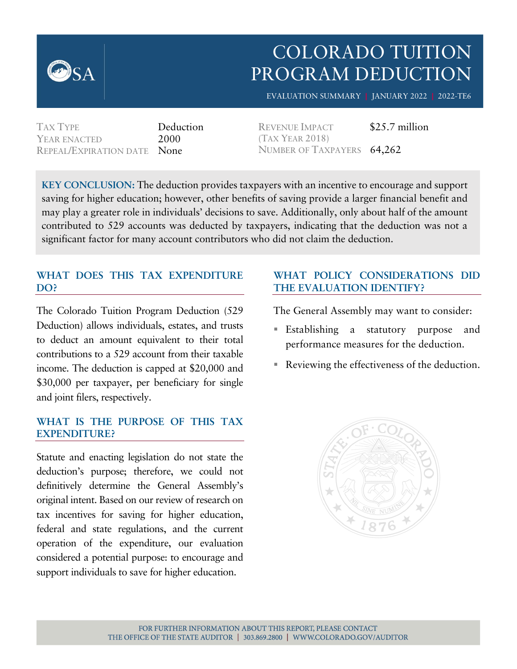

# COLORADO TUITION PROGRAM DEDUCTION

EVALUATION SUMMARY **|** JANUARY 2022 **|** 2022-TE6

TAX TYPE Deduction YEAR ENACTED 2000 REPEAL/EXPIRATION DATE None

REVENUE IMPACT \$25.7 million (TAX YEAR 2018) NUMBER OF TAXPAYERS 64,262

**KEY CONCLUSION:** The deduction provides taxpayers with an incentive to encourage and support saving for higher education; however, other benefits of saving provide a larger financial benefit and may play a greater role in individuals' decisions to save. Additionally, only about half of the amount contributed to 529 accounts was deducted by taxpayers, indicating that the deduction was not a significant factor for many account contributors who did not claim the deduction.

# **WHAT DOES THIS TAX EXPENDITURE DO?**

The Colorado Tuition Program Deduction (529 Deduction) allows individuals, estates, and trusts to deduct an amount equivalent to their total contributions to a 529 account from their taxable income. The deduction is capped at \$20,000 and \$30,000 per taxpayer, per beneficiary for single and joint filers, respectively.

### **WHAT IS THE PURPOSE OF THIS TAX EXPENDITURE?**

Statute and enacting legislation do not state the deduction's purpose; therefore, we could not definitively determine the General Assembly's original intent. Based on our review of research on tax incentives for saving for higher education, federal and state regulations, and the current operation of the expenditure, our evaluation considered a potential purpose: to encourage and support individuals to save for higher education.

## **WHAT POLICY CONSIDERATIONS DID THE EVALUATION IDENTIFY?**

The General Assembly may want to consider:

- Establishing a statutory purpose and performance measures for the deduction.
- Reviewing the effectiveness of the deduction.

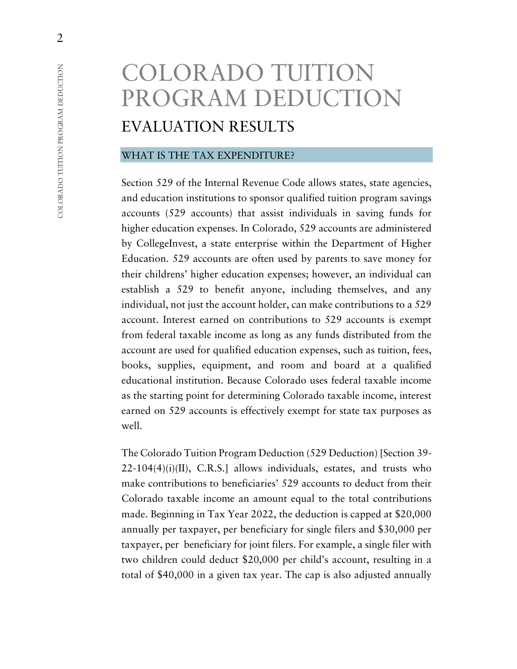# COLORADO TUITION PROGRAM DEDUCTION EVALUATION RESULTS

#### WHAT IS THE TAX EXPENDITURE?

Section 529 of the Internal Revenue Code allows states, state agencies, and education institutions to sponsor qualified tuition program savings accounts (529 accounts) that assist individuals in saving funds for higher education expenses. In Colorado, 529 accounts are administered by CollegeInvest, a state enterprise within the Department of Higher Education. 529 accounts are often used by parents to save money for their childrens' higher education expenses; however, an individual can establish a 529 to benefit anyone, including themselves, and any individual, not just the account holder, can make contributions to a 529 account. Interest earned on contributions to 529 accounts is exempt from federal taxable income as long as any funds distributed from the account are used for qualified education expenses, such as tuition, fees, books, supplies, equipment, and room and board at a qualified educational institution. Because Colorado uses federal taxable income as the starting point for determining Colorado taxable income, interest earned on 529 accounts is effectively exempt for state tax purposes as well.

The Colorado Tuition Program Deduction (529 Deduction) [Section 39-  $22-104(4)(i)(II)$ , C.R.S.] allows individuals, estates, and trusts who make contributions to beneficiaries' 529 accounts to deduct from their Colorado taxable income an amount equal to the total contributions made. Beginning in Tax Year 2022, the deduction is capped at \$20,000 annually per taxpayer, per beneficiary for single filers and \$30,000 per taxpayer, per beneficiary for joint filers. For example, a single filer with two children could deduct \$20,000 per child's account, resulting in a total of \$40,000 in a given tax year. The cap is also adjusted annually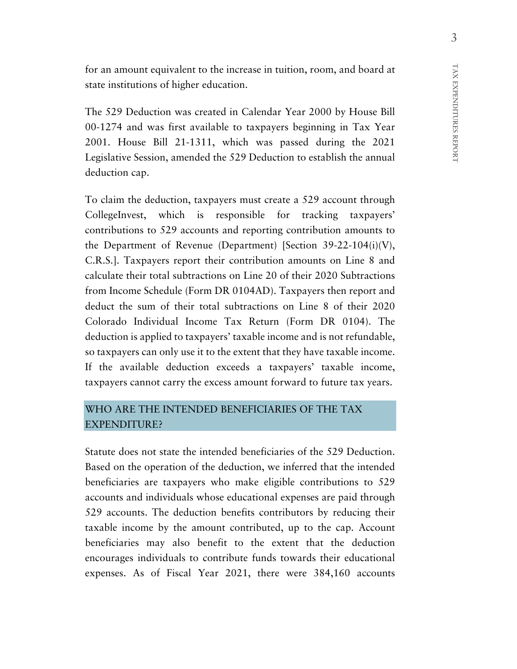for an amount equivalent to the increase in tuition, room, and board at state institutions of higher education.

The 529 Deduction was created in Calendar Year 2000 by House Bill 00-1274 and was first available to taxpayers beginning in Tax Year 2001. House Bill 21-1311, which was passed during the 2021 Legislative Session, amended the 529 Deduction to establish the annual deduction cap.

To claim the deduction, taxpayers must create a 529 account through CollegeInvest, which is responsible for tracking taxpayers' contributions to 529 accounts and reporting contribution amounts to the Department of Revenue (Department) [Section 39-22-104(i)(V), C.R.S.]. Taxpayers report their contribution amounts on Line 8 and calculate their total subtractions on Line 20 of their 2020 Subtractions from Income Schedule (Form DR 0104AD). Taxpayers then report and deduct the sum of their total subtractions on Line 8 of their 2020 Colorado Individual Income Tax Return (Form DR 0104). The deduction is applied to taxpayers' taxable income and is not refundable, so taxpayers can only use it to the extent that they have taxable income. If the available deduction exceeds a taxpayers' taxable income, taxpayers cannot carry the excess amount forward to future tax years.

# WHO ARE THE INTENDED BENEFICIARIES OF THE TAX EXPENDITURE?

Statute does not state the intended beneficiaries of the 529 Deduction. Based on the operation of the deduction, we inferred that the intended beneficiaries are taxpayers who make eligible contributions to 529 accounts and individuals whose educational expenses are paid through 529 accounts. The deduction benefits contributors by reducing their taxable income by the amount contributed, up to the cap. Account beneficiaries may also benefit to the extent that the deduction encourages individuals to contribute funds towards their educational expenses. As of Fiscal Year 2021, there were 384,160 accounts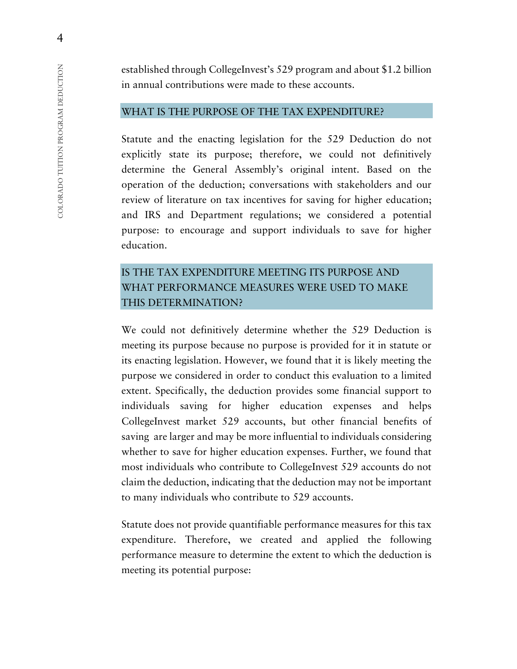established through CollegeInvest's 529 program and about \$1.2 billion in annual contributions were made to these accounts.

#### WHAT IS THE PURPOSE OF THE TAX EXPENDITURE?

Statute and the enacting legislation for the 529 Deduction do not explicitly state its purpose; therefore, we could not definitively determine the General Assembly's original intent. Based on the operation of the deduction; conversations with stakeholders and our review of literature on tax incentives for saving for higher education; and IRS and Department regulations; we considered a potential purpose: to encourage and support individuals to save for higher education.

# IS THE TAX EXPENDITURE MEETING ITS PURPOSE AND WHAT PERFORMANCE MEASURES WERE USED TO MAKE THIS DETERMINATION?

We could not definitively determine whether the 529 Deduction is meeting its purpose because no purpose is provided for it in statute or its enacting legislation. However, we found that it is likely meeting the purpose we considered in order to conduct this evaluation to a limited extent. Specifically, the deduction provides some financial support to individuals saving for higher education expenses and helps CollegeInvest market 529 accounts, but other financial benefits of saving are larger and may be more influential to individuals considering whether to save for higher education expenses. Further, we found that most individuals who contribute to CollegeInvest 529 accounts do not claim the deduction, indicating that the deduction may not be important to many individuals who contribute to 529 accounts.

Statute does not provide quantifiable performance measures for this tax expenditure. Therefore, we created and applied the following performance measure to determine the extent to which the deduction is meeting its potential purpose:

4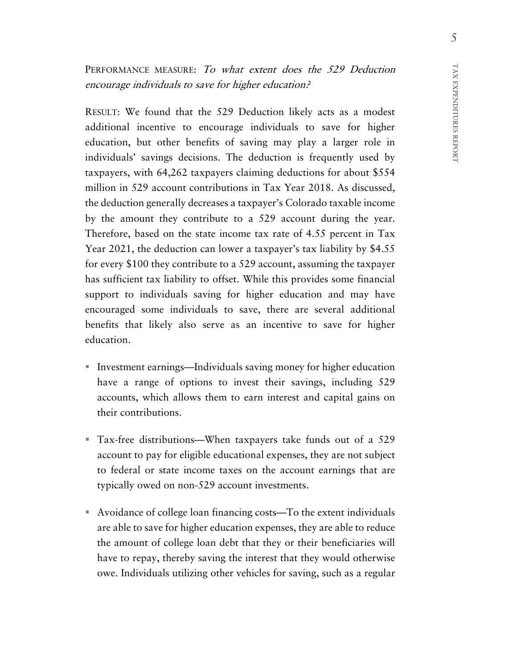PERFORMANCE MEASURE: To what extent does the 529 Deduction encourage individuals to save for higher education?

RESULT: We found that the 529 Deduction likely acts as a modest additional incentive to encourage individuals to save for higher education, but other benefits of saving may play a larger role in individuals' savings decisions. The deduction is frequently used by taxpayers, with 64,262 taxpayers claiming deductions for about \$554 million in 529 account contributions in Tax Year 2018. As discussed, the deduction generally decreases a taxpayer's Colorado taxable income by the amount they contribute to a 529 account during the year. Therefore, based on the state income tax rate of 4.55 percent in Tax Year 2021, the deduction can lower a taxpayer's tax liability by \$4.55 for every \$100 they contribute to a 529 account, assuming the taxpayer has sufficient tax liability to offset. While this provides some financial support to individuals saving for higher education and may have encouraged some individuals to save, there are several additional benefits that likely also serve as an incentive to save for higher education.

- Investment earnings—Individuals saving money for higher education have a range of options to invest their savings, including 529 accounts, which allows them to earn interest and capital gains on their contributions.
- Tax-free distributions—When taxpayers take funds out of a 529 account to pay for eligible educational expenses, they are not subject to federal or state income taxes on the account earnings that are typically owed on non-529 account investments.
- Avoidance of college loan financing costs—To the extent individuals are able to save for higher education expenses, they are able to reduce the amount of college loan debt that they or their beneficiaries will have to repay, thereby saving the interest that they would otherwise owe. Individuals utilizing other vehicles for saving, such as a regular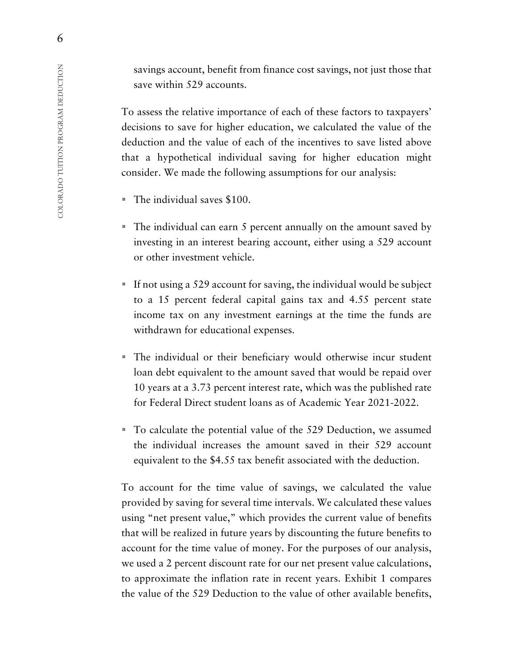savings account, benefit from finance cost savings, not just those that save within 529 accounts.

To assess the relative importance of each of these factors to taxpayers' decisions to save for higher education, we calculated the value of the deduction and the value of each of the incentives to save listed above that a hypothetical individual saving for higher education might consider. We made the following assumptions for our analysis:

- The individual saves \$100.
- The individual can earn 5 percent annually on the amount saved by investing in an interest bearing account, either using a 529 account or other investment vehicle.
- If not using a 529 account for saving, the individual would be subject to a 15 percent federal capital gains tax and 4.55 percent state income tax on any investment earnings at the time the funds are withdrawn for educational expenses.
- The individual or their beneficiary would otherwise incur student loan debt equivalent to the amount saved that would be repaid over 10 years at a 3.73 percent interest rate, which was the published rate for Federal Direct student loans as of Academic Year 2021-2022.
- To calculate the potential value of the 529 Deduction, we assumed the individual increases the amount saved in their 529 account equivalent to the \$4.55 tax benefit associated with the deduction.

To account for the time value of savings, we calculated the value provided by saving for several time intervals. We calculated these values using "net present value," which provides the current value of benefits that will be realized in future years by discounting the future benefits to account for the time value of money. For the purposes of our analysis, we used a 2 percent discount rate for our net present value calculations, to approximate the inflation rate in recent years. Exhibit 1 compares the value of the 529 Deduction to the value of other available benefits,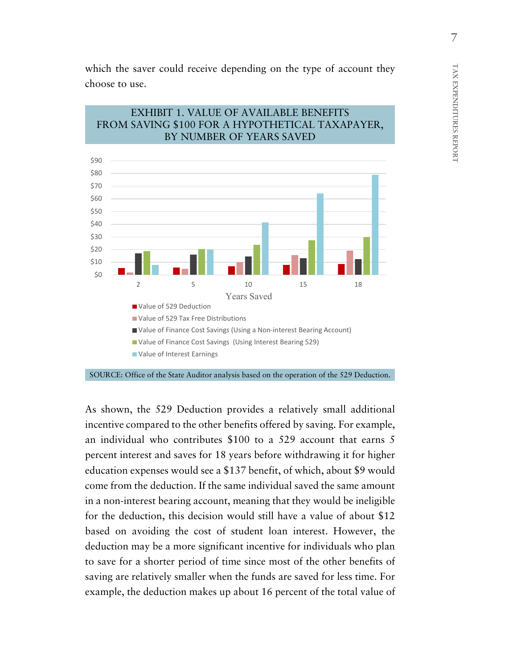which the saver could receive depending on the type of account they choose to use.

#### EXHIBIT 1. VALUE OF AVAILABLE BENEFITS FROM SAVING \$100 FOR A HYPOTHETICAL TAXAPAYER, BY NUMBER OF YEARS SAVED



SOURCE: Office of the State Auditor analysis based on the operation of the 529 Deduction.

As shown, the 529 Deduction provides a relatively small additional incentive compared to the other benefits offered by saving. For example, an individual who contributes \$100 to a 529 account that earns 5 percent interest and saves for 18 years before withdrawing it for higher education expenses would see a \$137 benefit, of which, about \$9 would come from the deduction. If the same individual saved the same amount in a non-interest bearing account, meaning that they would be ineligible for the deduction, this decision would still have a value of about \$12 based on avoiding the cost of student loan interest. However, the deduction may be a more significant incentive for individuals who plan to save for a shorter period of time since most of the other benefits of saving are relatively smaller when the funds are saved for less time. For example, the deduction makes up about 16 percent of the total value of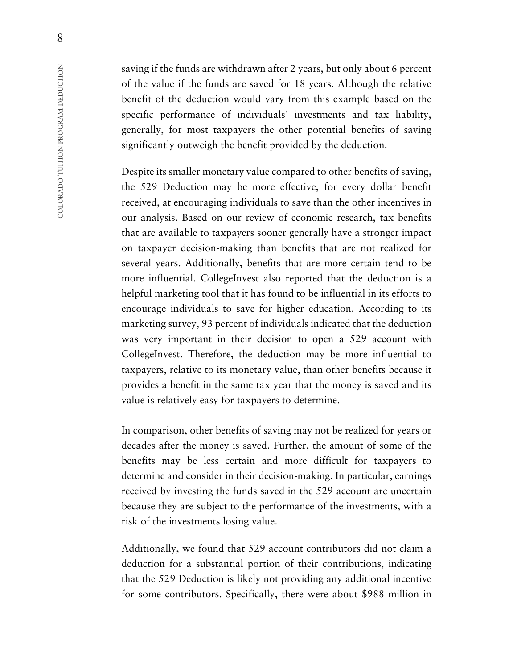saving if the funds are withdrawn after 2 years, but only about 6 percent of the value if the funds are saved for 18 years. Although the relative benefit of the deduction would vary from this example based on the specific performance of individuals' investments and tax liability, generally, for most taxpayers the other potential benefits of saving significantly outweigh the benefit provided by the deduction.

Despite its smaller monetary value compared to other benefits of saving, the 529 Deduction may be more effective, for every dollar benefit received, at encouraging individuals to save than the other incentives in our analysis. Based on our review of economic research, tax benefits that are available to taxpayers sooner generally have a stronger impact on taxpayer decision-making than benefits that are not realized for several years. Additionally, benefits that are more certain tend to be more influential. CollegeInvest also reported that the deduction is a helpful marketing tool that it has found to be influential in its efforts to encourage individuals to save for higher education. According to its marketing survey, 93 percent of individuals indicated that the deduction was very important in their decision to open a 529 account with CollegeInvest. Therefore, the deduction may be more influential to taxpayers, relative to its monetary value, than other benefits because it provides a benefit in the same tax year that the money is saved and its value is relatively easy for taxpayers to determine.

In comparison, other benefits of saving may not be realized for years or decades after the money is saved. Further, the amount of some of the benefits may be less certain and more difficult for taxpayers to determine and consider in their decision-making. In particular, earnings received by investing the funds saved in the 529 account are uncertain because they are subject to the performance of the investments, with a risk of the investments losing value.

Additionally, we found that 529 account contributors did not claim a deduction for a substantial portion of their contributions, indicating that the 529 Deduction is likely not providing any additional incentive for some contributors. Specifically, there were about \$988 million in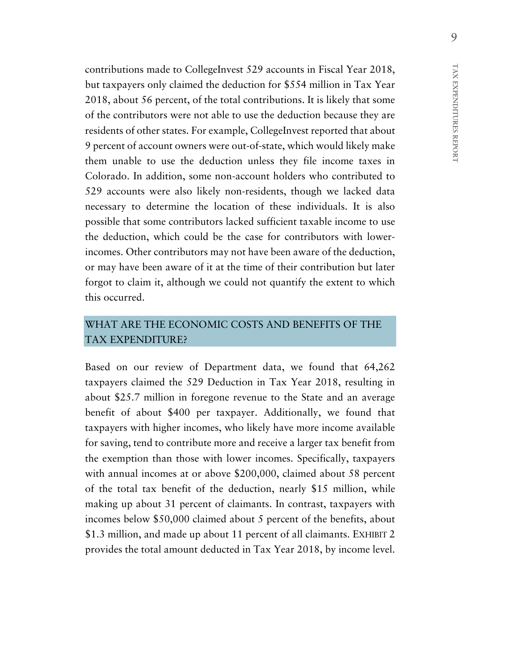contributions made to CollegeInvest 529 accounts in Fiscal Year 2018, but taxpayers only claimed the deduction for \$554 million in Tax Year 2018, about 56 percent, of the total contributions. It is likely that some of the contributors were not able to use the deduction because they are residents of other states. For example, CollegeInvest reported that about 9 percent of account owners were out-of-state, which would likely make them unable to use the deduction unless they file income taxes in Colorado. In addition, some non-account holders who contributed to 529 accounts were also likely non-residents, though we lacked data necessary to determine the location of these individuals. It is also possible that some contributors lacked sufficient taxable income to use the deduction, which could be the case for contributors with lowerincomes. Other contributors may not have been aware of the deduction, or may have been aware of it at the time of their contribution but later forgot to claim it, although we could not quantify the extent to which

# WHAT ARE THE ECONOMIC COSTS AND BENEFITS OF THE TAX EXPENDITURE?

this occurred.

Based on our review of Department data, we found that 64,262 taxpayers claimed the 529 Deduction in Tax Year 2018, resulting in about \$25.7 million in foregone revenue to the State and an average benefit of about \$400 per taxpayer. Additionally, we found that taxpayers with higher incomes, who likely have more income available for saving, tend to contribute more and receive a larger tax benefit from the exemption than those with lower incomes. Specifically, taxpayers with annual incomes at or above \$200,000, claimed about 58 percent of the total tax benefit of the deduction, nearly \$15 million, while making up about 31 percent of claimants. In contrast, taxpayers with incomes below \$50,000 claimed about 5 percent of the benefits, about \$1.3 million, and made up about 11 percent of all claimants. EXHIBIT 2 provides the total amount deducted in Tax Year 2018, by income level.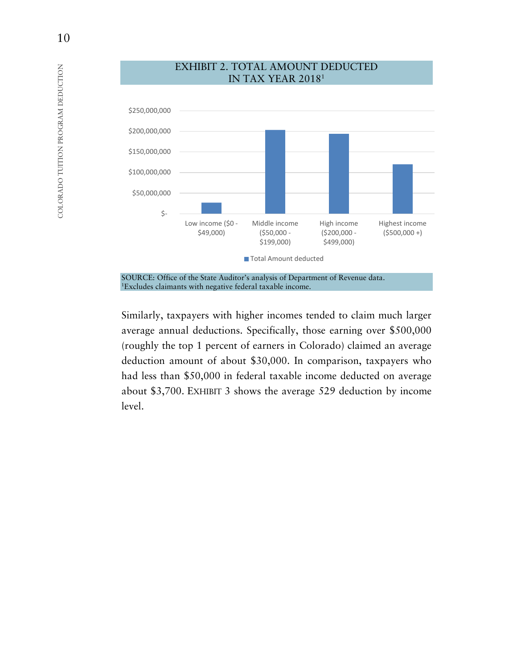

EXHIBIT 2. TOTAL AMOUNT DEDUCTED

SOURCE: Office of the State Auditor's analysis of Department of Revenue data. 1Excludes claimants with negative federal taxable income.

Similarly, taxpayers with higher incomes tended to claim much larger average annual deductions. Specifically, those earning over \$500,000 (roughly the top 1 percent of earners in Colorado) claimed an average deduction amount of about \$30,000. In comparison, taxpayers who had less than \$50,000 in federal taxable income deducted on average about \$3,700. EXHIBIT 3 shows the average 529 deduction by income level.

10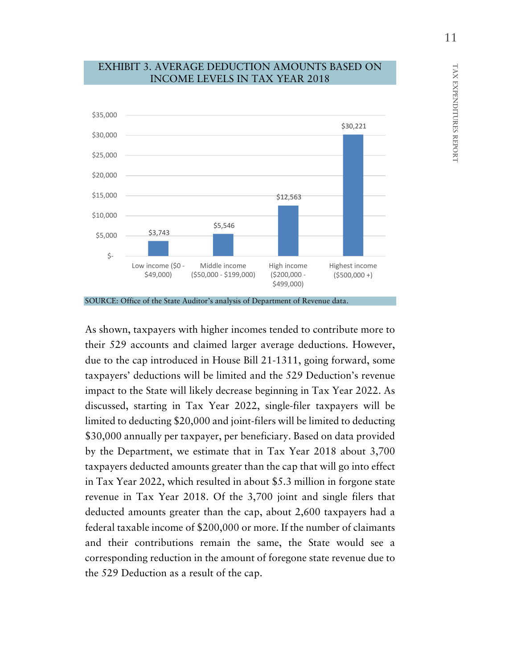

#### EXHIBIT 3. AVERAGE DEDUCTION AMOUNTS BASED ON INCOME LEVELS IN TAX YEAR 2018

As shown, taxpayers with higher incomes tended to contribute more to their 529 accounts and claimed larger average deductions. However, due to the cap introduced in House Bill 21-1311, going forward, some taxpayers' deductions will be limited and the 529 Deduction's revenue impact to the State will likely decrease beginning in Tax Year 2022. As discussed, starting in Tax Year 2022, single-filer taxpayers will be limited to deducting \$20,000 and joint-filers will be limited to deducting \$30,000 annually per taxpayer, per beneficiary. Based on data provided by the Department, we estimate that in Tax Year 2018 about 3,700 taxpayers deducted amounts greater than the cap that will go into effect in Tax Year 2022, which resulted in about \$5.3 million in forgone state revenue in Tax Year 2018. Of the 3,700 joint and single filers that deducted amounts greater than the cap, about 2,600 taxpayers had a federal taxable income of \$200,000 or more. If the number of claimants and their contributions remain the same, the State would see a corresponding reduction in the amount of foregone state revenue due to the 529 Deduction as a result of the cap.

SOURCE: Office of the State Auditor's analysis of Department of Revenue data.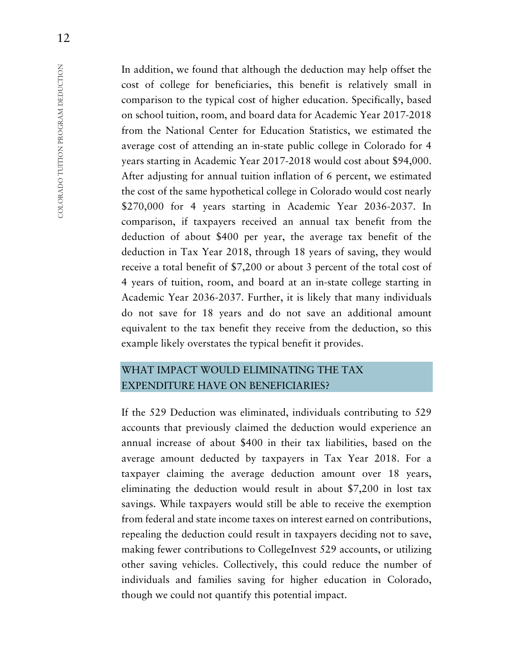In addition, we found that although the deduction may help offset the cost of college for beneficiaries, this benefit is relatively small in comparison to the typical cost of higher education. Specifically, based on school tuition, room, and board data for Academic Year 2017-2018 from the National Center for Education Statistics, we estimated the average cost of attending an in-state public college in Colorado for 4 years starting in Academic Year 2017-2018 would cost about \$94,000. After adjusting for annual tuition inflation of 6 percent, we estimated the cost of the same hypothetical college in Colorado would cost nearly \$270,000 for 4 years starting in Academic Year 2036-2037. In comparison, if taxpayers received an annual tax benefit from the deduction of about \$400 per year, the average tax benefit of the deduction in Tax Year 2018, through 18 years of saving, they would receive a total benefit of \$7,200 or about 3 percent of the total cost of 4 years of tuition, room, and board at an in-state college starting in Academic Year 2036-2037. Further, it is likely that many individuals do not save for 18 years and do not save an additional amount equivalent to the tax benefit they receive from the deduction, so this example likely overstates the typical benefit it provides.

# WHAT IMPACT WOULD ELIMINATING THE TAX EXPENDITURE HAVE ON BENEFICIARIES?

If the 529 Deduction was eliminated, individuals contributing to 529 accounts that previously claimed the deduction would experience an annual increase of about \$400 in their tax liabilities, based on the average amount deducted by taxpayers in Tax Year 2018. For a taxpayer claiming the average deduction amount over 18 years, eliminating the deduction would result in about \$7,200 in lost tax savings. While taxpayers would still be able to receive the exemption from federal and state income taxes on interest earned on contributions, repealing the deduction could result in taxpayers deciding not to save, making fewer contributions to CollegeInvest 529 accounts, or utilizing other saving vehicles. Collectively, this could reduce the number of individuals and families saving for higher education in Colorado, though we could not quantify this potential impact.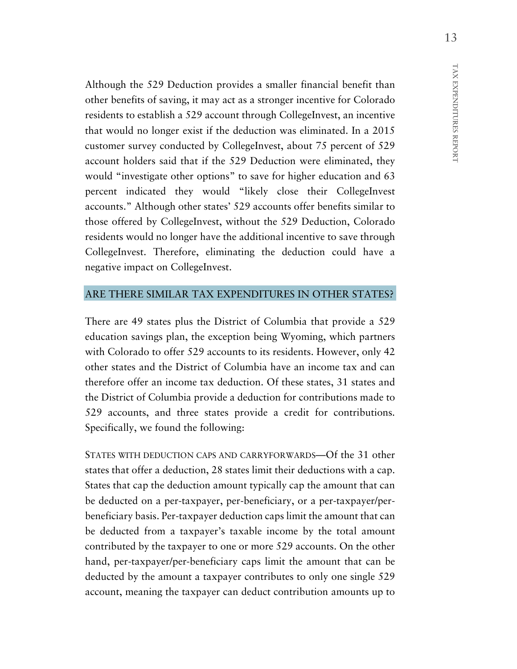Although the 529 Deduction provides a smaller financial benefit than other benefits of saving, it may act as a stronger incentive for Colorado residents to establish a 529 account through CollegeInvest, an incentive that would no longer exist if the deduction was eliminated. In a 2015 customer survey conducted by CollegeInvest, about 75 percent of 529 account holders said that if the 529 Deduction were eliminated, they would "investigate other options" to save for higher education and 63 percent indicated they would "likely close their CollegeInvest accounts." Although other states' 529 accounts offer benefits similar to those offered by CollegeInvest, without the 529 Deduction, Colorado residents would no longer have the additional incentive to save through CollegeInvest. Therefore, eliminating the deduction could have a negative impact on CollegeInvest.

#### ARE THERE SIMILAR TAX EXPENDITURES IN OTHER STATES?

There are 49 states plus the District of Columbia that provide a 529 education savings plan, the exception being Wyoming, which partners with Colorado to offer 529 accounts to its residents. However, only 42 other states and the District of Columbia have an income tax and can therefore offer an income tax deduction. Of these states, 31 states and the District of Columbia provide a deduction for contributions made to 529 accounts, and three states provide a credit for contributions. Specifically, we found the following:

STATES WITH DEDUCTION CAPS AND CARRYFORWARDS—Of the 31 other states that offer a deduction, 28 states limit their deductions with a cap. States that cap the deduction amount typically cap the amount that can be deducted on a per-taxpayer, per-beneficiary, or a per-taxpayer/perbeneficiary basis. Per-taxpayer deduction caps limit the amount that can be deducted from a taxpayer's taxable income by the total amount contributed by the taxpayer to one or more 529 accounts. On the other hand, per-taxpayer/per-beneficiary caps limit the amount that can be deducted by the amount a taxpayer contributes to only one single 529 account, meaning the taxpayer can deduct contribution amounts up to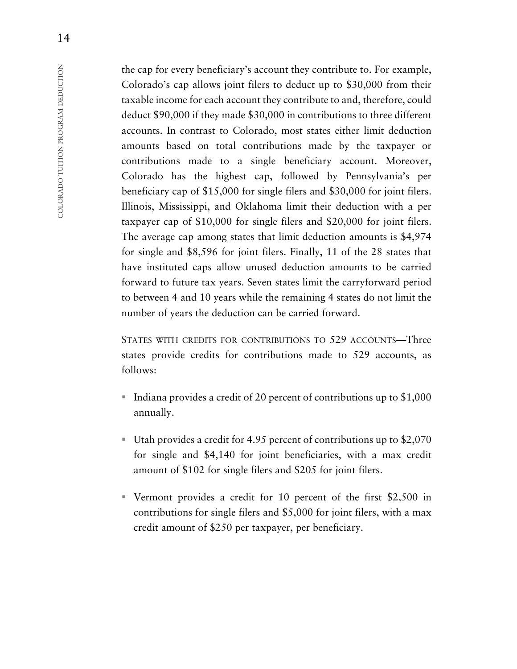the cap for every beneficiary's account they contribute to. For example, Colorado's cap allows joint filers to deduct up to \$30,000 from their taxable income for each account they contribute to and, therefore, could deduct \$90,000 if they made \$30,000 in contributions to three different accounts. In contrast to Colorado, most states either limit deduction amounts based on total contributions made by the taxpayer or contributions made to a single beneficiary account. Moreover, Colorado has the highest cap, followed by Pennsylvania's per beneficiary cap of \$15,000 for single filers and \$30,000 for joint filers. Illinois, Mississippi, and Oklahoma limit their deduction with a per taxpayer cap of \$10,000 for single filers and \$20,000 for joint filers. The average cap among states that limit deduction amounts is \$4,974 for single and \$8,596 for joint filers. Finally, 11 of the 28 states that have instituted caps allow unused deduction amounts to be carried forward to future tax years. Seven states limit the carryforward period to between 4 and 10 years while the remaining 4 states do not limit the number of years the deduction can be carried forward.

STATES WITH CREDITS FOR CONTRIBUTIONS TO 529 ACCOUNTS—Three states provide credits for contributions made to 529 accounts, as follows:

- Indiana provides a credit of 20 percent of contributions up to  $$1,000$ annually.
- Utah provides a credit for 4.95 percent of contributions up to \$2,070 for single and \$4,140 for joint beneficiaries, with a max credit amount of \$102 for single filers and \$205 for joint filers.
- Vermont provides a credit for 10 percent of the first \$2,500 in contributions for single filers and \$5,000 for joint filers, with a max credit amount of \$250 per taxpayer, per beneficiary.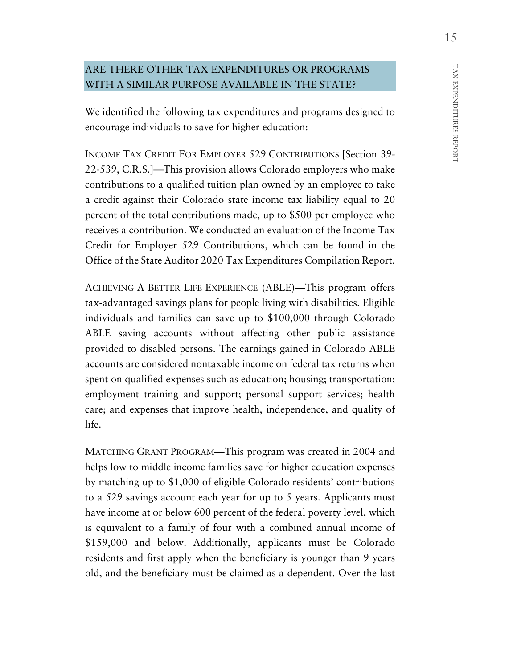# ARE THERE OTHER TAX EXPENDITURES OR PROGRAMS WITH A SIMILAR PURPOSE AVAILABLE IN THE STATE?

We identified the following tax expenditures and programs designed to encourage individuals to save for higher education:

INCOME TAX CREDIT FOR EMPLOYER 529 CONTRIBUTIONS [Section 39- 22-539, C.R.S.]—This provision allows Colorado employers who make contributions to a qualified tuition plan owned by an employee to take a credit against their Colorado state income tax liability equal to 20 percent of the total contributions made, up to \$500 per employee who receives a contribution. We conducted an evaluation of the Income Tax Credit for Employer 529 Contributions, which can be found in the Office of the State Auditor 2020 Tax Expenditures Compilation Report.

ACHIEVING A BETTER LIFE EXPERIENCE (ABLE)—This program offers tax-advantaged savings plans for people living with disabilities. Eligible individuals and families can save up to \$100,000 through Colorado ABLE saving accounts without affecting other public assistance provided to disabled persons. The earnings gained in Colorado ABLE accounts are considered nontaxable income on federal tax returns when spent on qualified expenses such as education; housing; transportation; employment training and support; personal support services; health care; and expenses that improve health, independence, and quality of life.

MATCHING GRANT PROGRAM—This program was created in 2004 and helps low to middle income families save for higher education expenses by matching up to \$1,000 of eligible Colorado residents' contributions to a 529 savings account each year for up to 5 years. Applicants must have income at or below 600 percent of the federal poverty level, which is equivalent to a family of four with a combined annual income of \$159,000 and below. Additionally, applicants must be Colorado residents and first apply when the beneficiary is younger than 9 years old, and the beneficiary must be claimed as a dependent. Over the last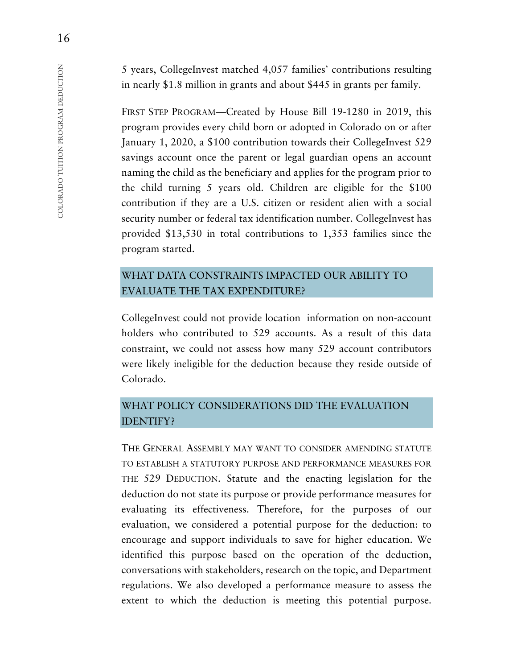5 years, CollegeInvest matched 4,057 families' contributions resulting in nearly \$1.8 million in grants and about \$445 in grants per family.

FIRST STEP PROGRAM—Created by House Bill 19-1280 in 2019, this program provides every child born or adopted in Colorado on or after January 1, 2020, a \$100 contribution towards their CollegeInvest 529 savings account once the parent or legal guardian opens an account naming the child as the beneficiary and applies for the program prior to the child turning 5 years old. Children are eligible for the \$100 contribution if they are a U.S. citizen or resident alien with a social security number or federal tax identification number. CollegeInvest has provided \$13,530 in total contributions to 1,353 families since the program started.

# WHAT DATA CONSTRAINTS IMPACTED OUR ABILITY TO EVALUATE THE TAX EXPENDITURE?

CollegeInvest could not provide location information on non-account holders who contributed to 529 accounts. As a result of this data constraint, we could not assess how many 529 account contributors were likely ineligible for the deduction because they reside outside of Colorado.

# WHAT POLICY CONSIDERATIONS DID THE EVALUATION IDENTIFY?

THE GENERAL ASSEMBLY MAY WANT TO CONSIDER AMENDING STATUTE TO ESTABLISH A STATUTORY PURPOSE AND PERFORMANCE MEASURES FOR THE 529 DEDUCTION. Statute and the enacting legislation for the deduction do not state its purpose or provide performance measures for evaluating its effectiveness. Therefore, for the purposes of our evaluation, we considered a potential purpose for the deduction: to encourage and support individuals to save for higher education. We identified this purpose based on the operation of the deduction, conversations with stakeholders, research on the topic, and Department regulations. We also developed a performance measure to assess the extent to which the deduction is meeting this potential purpose.

16